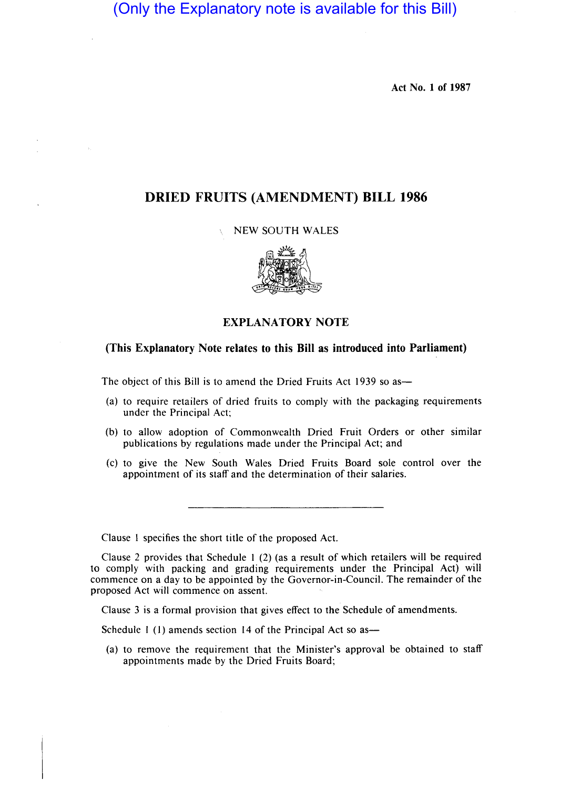(Only the Explanatory note is available for this Bill)

Act No. 1 of 1987

## DRIED FRUITS (AMENDMENT) BILL 1986

 $\Delta_{\rm{L}}$ 

## NEW SOUTH WALES



## EXPLANATORY NOTE

## (This Explanatory Note relates to this Bill as introduced into Parliament)

The object of this Bill is to amend the Dried Fruits Act 1939 so as—

- (a) to require retailers of dried fruits to comply with the packaging requirements under the Principal Act;
- (b) to allow adoption of Commonwealth Dried Fruit Orders or other similar publications by regulations made under the Principal Act; and
- (c) to give the New South Wales Dried Fruits Board sole control over the appointment of its staff and the determination of their salaries.

Clause I specifies the short title of the proposed Act.

Clause 2 provides that Schedule I (2) (as a result of which retailers will be required to comply with packing and grading requirements under the Principal Act) will commence on a day to be appointed by the Governor-in-Council. The remainder of the proposed Act will commence on assent.

Clause 3 is a formal provision that gives effect to the Schedule of amendments.

Schedule 1 (1) amends section 14 of the Principal Act so as-

(a) to remove the requirement that the Minister's approval be obtained to staff appointments made by the Dried Fruits Board;